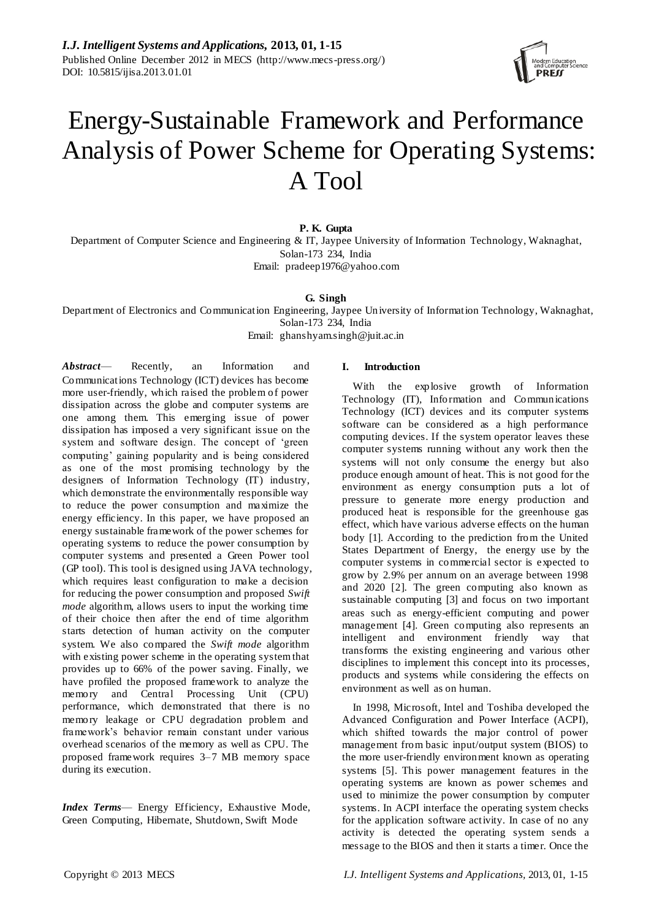

# Energy-Sustainable Framework and Performance Analysis of Power Scheme for Operating Systems: A Tool

**P. K. Gupta**

Department of Computer Science and Engineering & IT, Jaypee University of Information Technology, Waknaghat, Solan-173 234, India Email: pradeep1976@yahoo.com

**G. Singh**

Department of Electronics and Communication Engineering, Jaypee University of Information Technology, Waknaghat, Solan-173 234, India Email: ghanshyam.singh@juit.ac.in

*Abstract*— Recently, an Information and Communications Technology (ICT) devices has become more user-friendly, which raised the problem of power dissipation across the globe and computer systems are one among them. This emerging issue of power dissipation has imposed a very significant issue on the system and software design. The concept of 'green computing' gaining popularity and is being considered as one of the most promising technology by the designers of Information Technology (IT) industry, which demonstrate the environmentally responsible way to reduce the power consumption and maximize the energy efficiency. In this paper, we have proposed an energy sustainable framework of the power schemes for operating systems to reduce the power consumption by computer systems and presented a Green Power tool (GP tool). This tool is designed using JAVA technology, which requires least configuration to make a decision for reducing the power consumption and proposed *Swift mode* algorithm, allows users to input the working time of their choice then after the end of time algorithm starts detection of human activity on the computer system. We also compared the *Swift mode* algorithm with existing power scheme in the operating system that provides up to 66% of the power saving. Finally, we have profiled the proposed framework to analyze the memory and Central Processing Unit (CPU) performance, which demonstrated that there is no memory leakage or CPU degradation problem and framework's behavior remain constant under various overhead scenarios of the memory as well as CPU. The proposed framework requires 3–7 MB memory space during its execution.

*Index Terms*— Energy Efficiency, Exhaustive Mode, Green Computing, Hibernate, Shutdown, Swift Mode

# **I. Introduction**

With the explosive growth of Information Technology (IT), Information and Communications Technology (ICT) devices and its computer systems software can be considered as a high performance computing devices. If the system operator leaves these computer systems running without any work then the systems will not only consume the energy but also produce enough amount of heat. This is not good for the environment as energy consumption puts a lot of pressure to generate more energy production and produced heat is responsible for the greenhouse gas effect, which have various adverse effects on the human body [1]. According to the prediction from the United States Department of Energy, the energy use by the computer systems in commercial sector is expected to grow by 2.9% per annum on an average between 1998 and 2020 [2]. The green computing also known as sustainable computing [3] and focus on two important areas such as energy-efficient computing and power management [4]. Green computing also represents an intelligent and environment friendly way that transforms the existing engineering and various other disciplines to implement this concept into its processes, products and systems while considering the effects on environment as well as on human.

In 1998, Microsoft, Intel and Toshiba developed the Advanced Configuration and Power Interface (ACPI), which shifted towards the major control of power management from basic input/output system (BIOS) to the more user-friendly environment known as operating systems [5]. This power management features in the operating systems are known as power schemes and used to minimize the power consumption by computer systems. In ACPI interface the operating system checks for the application software activity. In case of no any activity is detected the operating system sends a message to the BIOS and then it starts a timer. Once the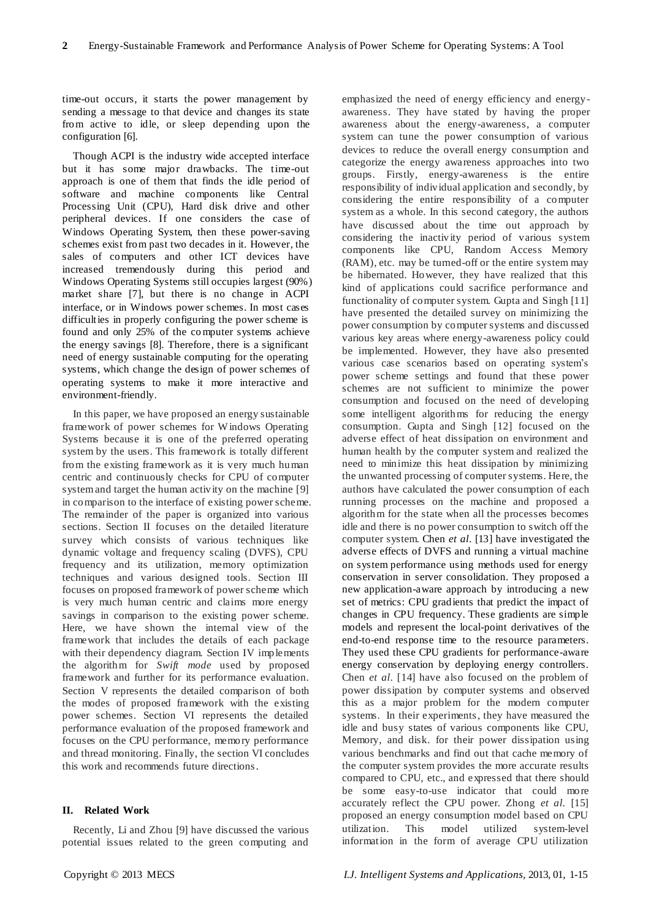time-out occurs, it starts the power management by sending a message to that device and changes its state from active to idle, or sleep depending upon the configuration [6].

Though ACPI is the industry wide accepted interface but it has some major drawbacks. The time-out approach is one of them that finds the idle period of software and machine components like Central Processing Unit (CPU), Hard disk drive and other peripheral devices. If one considers the case of Windows Operating System, then these power-saving schemes exist from past two decades in it. However, the sales of computers and other ICT devices have increased tremendously during this period and Windows Operating Systems still occupies largest (90%) market share [7], but there is no change in ACPI interface, or in Windows power schemes. In most cases difficulties in properly configuring the power scheme is found and only 25% of the computer systems achieve the energy savings [8]. Therefore, there is a significant need of energy sustainable computing for the operating systems, which change the design of power schemes of operating systems to make it more interactive and environment-friendly.

In this paper, we have proposed an energy sustainable framework of power schemes for W indows Operating Systems because it is one of the preferred operating system by the users. This framework is totally different from the existing framework as it is very much human centric and continuously checks for CPU of computer system and target the human activity on the machine [9] in comparison to the interface of existing power scheme. The remainder of the paper is organized into various sections. Section II focuses on the detailed literature survey which consists of various techniques like dynamic voltage and frequency scaling (DVFS), CPU frequency and its utilization, memory optimization techniques and various designed tools. Section III focuses on proposed framework of power scheme which is very much human centric and claims more energy savings in comparison to the existing power scheme. Here, we have shown the internal view of the framework that includes the details of each package with their dependency diagram. Section IV implements the algorithm for *Swift mode* used by proposed framework and further for its performance evaluation. Section V represents the detailed comparison of both the modes of proposed framework with the existing power schemes. Section VI represents the detailed performance evaluation of the proposed framework and focuses on the CPU performance, memory performance and thread monitoring. Finally, the section VI concludes this work and recommends future directions.

# **II. Related Work**

Recently, Li and Zhou [9] have discussed the various potential issues related to the green computing and

emphasized the need of energy efficiency and energyawareness. They have stated by having the proper awareness about the energy-awareness, a computer system can tune the power consumption of various devices to reduce the overall energy consumption and categorize the energy awareness approaches into two groups. Firstly, energy-awareness is the entire responsibility of individual application and secondly, by considering the entire responsibility of a computer system as a whole. In this second category, the authors have discussed about the time out approach by considering the inactivity period of various system components like CPU, Random Access Memory (RAM), etc. may be turned-off or the entire system may be hibernated. However, they have realized that this kind of applications could sacrifice performance and functionality of computer system. Gupta and Singh [11] have presented the detailed survey on minimizing the power consumption by computer systems and discussed various key areas where energy-awareness policy could be implemented. However, they have also presented various case scenarios based on operating system's power scheme settings and found that these power schemes are not sufficient to minimize the power consumption and focused on the need of developing some intelligent algorithms for reducing the energy consumption. Gupta and Singh [12] focused on the adverse effect of heat dissipation on environment and human health by the computer system and realized the need to minimize this heat dissipation by minimizing the unwanted processing of computer systems. Here, the authors have calculated the power consumption of each running processes on the machine and proposed a algorithm for the state when all the processes becomes idle and there is no power consumption to switch off the computer system. Chen *et al.* [13] have investigated the adverse effects of DVFS and running a virtual machine on system performance using methods used for energy conservation in server consolidation. They proposed a new application-aware approach by introducing a new set of metrics: CPU gradients that predict the impact of changes in CPU frequency. These gradients are simple models and represent the local-point derivatives of the end-to-end response time to the resource parameters. They used these CPU gradients for performance-aware energy conservation by deploying energy controllers. Chen *et al.* [14] have also focused on the problem of power dissipation by computer systems and observed this as a major problem for the modern computer systems. In their experiments, they have measured the idle and busy states of various components like CPU, Memory, and disk. for their power dissipation using various benchmarks and find out that cache memory of the computer system provides the more accurate results compared to CPU, etc., and expressed that there should be some easy-to-use indicator that could more accurately reflect the CPU power. Zhong *et al.* [15] proposed an energy consumption model based on CPU utilization. This model utilized system-level information in the form of average CPU utilization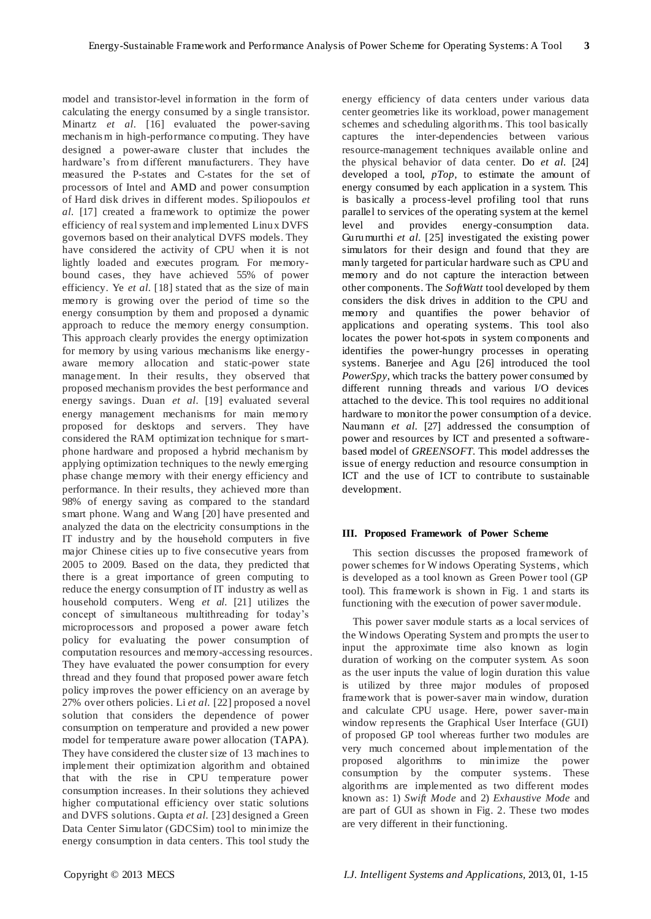model and transistor-level information in the form of calculating the energy consumed by a single transistor. Minartz *et al.* [16] evaluated the power-saving mechanis m in high-performance computing. They have designed a power-aware cluster that includes the hardware's from different manufacturers. They have measured the P-states and C-states for the set of processors of Intel and AMD and power consumption of Hard disk drives in different modes. Spiliopoulos *et al.* [17] created a framework to optimize the power efficiency of real system and implemented Linux DVFS governors based on their analytical DVFS models. They have considered the activity of CPU when it is not lightly loaded and executes program. For memorybound cases, they have achieved 55% of power efficiency. Ye *et al.* [18] stated that as the size of main memory is growing over the period of time so the energy consumption by them and proposed a dynamic approach to reduce the memory energy consumption. This approach clearly provides the energy optimization for memory by using various mechanisms like energyaware memory allocation and static-power state management. In their results, they observed that proposed mechanism provides the best performance and energy savings. Duan *et al.* [19] evaluated several energy management mechanisms for main memory proposed for desktops and servers. They have considered the RAM optimization technique for s martphone hardware and proposed a hybrid mechanism by applying optimization techniques to the newly emerging phase change memory with their energy efficiency and performance. In their results, they achieved more than 98% of energy saving as compared to the standard smart phone. Wang and Wang [20] have presented and analyzed the data on the electricity consumptions in the IT industry and by the household computers in five major Chinese cities up to five consecutive years from 2005 to 2009. Based on the data, they predicted that there is a great importance of green computing to reduce the energy consumption of IT industry as well as household computers. Weng *et al.* [21] utilizes the concept of simultaneous multithreading for today's microprocessors and proposed a power aware fetch policy for evaluating the power consumption of computation resources and memory-accessing resources. They have evaluated the power consumption for every thread and they found that proposed power aware fetch policy improves the power efficiency on an average by 27% over others policies. Li *et al.* [22] proposed a novel solution that considers the dependence of power consumption on temperature and provided a new power model for temperature aware power allocation (TAPA). They have considered the cluster size of 13 machines to implement their optimization algorithm and obtained that with the rise in CPU temperature power consumption increases. In their solutions they achieved higher computational efficiency over static solutions and DVFS solutions. Gupta *et al.* [23] designed a Green Data Center Simulator (GDCSim) tool to minimize the energy consumption in data centers. This tool study the

energy efficiency of data centers under various data center geometries like its workload, power management schemes and scheduling algorithms. This tool basically captures the inter-dependencies between various resource-management techniques available online and the physical behavior of data center. Do *et al.* [24] developed a tool, *pTop,* to estimate the amount of energy consumed by each application in a system. This is basically a process-level profiling tool that runs parallel to services of the operating system at the kernel level and provides energy-consumption data. Gurumurthi *et al.* [25] investigated the existing power simulators for their design and found that they are manly targeted for particular hardware such as CPU and memory and do not capture the interaction between other components. The *SoftWatt* tool developed by them considers the disk drives in addition to the CPU and memory and quantifies the power behavior of applications and operating systems. This tool also locates the power hot-spots in system components and identifies the power-hungry processes in operating systems. Banerjee and Agu [26] introduced the tool *PowerSpy*, which tracks the battery power consumed by different running threads and various I/O devices attached to the device. This tool requires no additional hardware to monitor the power consumption of a device. Naumann *et al.* [27] addressed the consumption of power and resources by ICT and presented a softwarebased model of *GREENSOFT*. This model addresses the issue of energy reduction and resource consumption in ICT and the use of ICT to contribute to sustainable development.

## **III. Proposed Framework of Power Scheme**

This section discusses the proposed framework of power schemes for W indows Operating Systems, which is developed as a tool known as Green Power tool (GP tool). This framework is shown in Fig. 1 and starts its functioning with the execution of power saver module.

This power saver module starts as a local services of the Windows Operating System and prompts the user to input the approximate time also known as login duration of working on the computer system. As soon as the user inputs the value of login duration this value is utilized by three major modules of proposed framework that is power-saver main window, duration and calculate CPU usage. Here, power saver-main window represents the Graphical User Interface (GUI) of proposed GP tool whereas further two modules are very much concerned about implementation of the proposed algorithms to minimize the power consumption by the computer systems. These algorithms are implemented as two different modes known as: 1) *Swift Mode* and 2) *Exhaustive Mode* and are part of GUI as shown in Fig. 2. These two modes are very different in their functioning.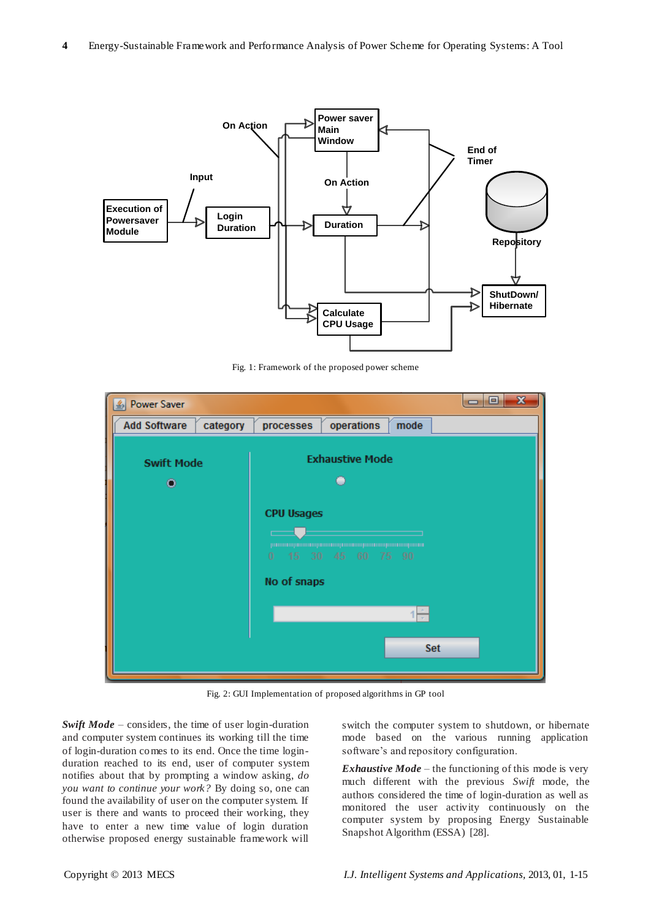

Fig. 1: Framework of the proposed power scheme

| <b>Execution of</b><br>Powersaver<br><b>Module</b>                                                                                                                                                                                                                                                                                                                                                                                                                                                                                                                                          | <b>On Action</b><br>Input<br>Login<br><b>Duration</b> | Fig. 1: Framework of the proposed power scheme                                                                    | Power saver<br><b>Main</b><br>Window<br><b>On Action</b><br><b>Duration</b><br><b>Calculate</b><br><b>CPU Usage</b> |                                                                             | End of<br><b>Timer</b> | <b>Repository</b><br>ShutDown/<br>Hibernate                                                                                                                                                                                                                                                                                                                                                  |
|---------------------------------------------------------------------------------------------------------------------------------------------------------------------------------------------------------------------------------------------------------------------------------------------------------------------------------------------------------------------------------------------------------------------------------------------------------------------------------------------------------------------------------------------------------------------------------------------|-------------------------------------------------------|-------------------------------------------------------------------------------------------------------------------|---------------------------------------------------------------------------------------------------------------------|-----------------------------------------------------------------------------|------------------------|----------------------------------------------------------------------------------------------------------------------------------------------------------------------------------------------------------------------------------------------------------------------------------------------------------------------------------------------------------------------------------------------|
| & Power Saver                                                                                                                                                                                                                                                                                                                                                                                                                                                                                                                                                                               |                                                       |                                                                                                                   |                                                                                                                     |                                                                             | Θ.<br>$\Box$           | $\mathbf{x}$                                                                                                                                                                                                                                                                                                                                                                                 |
| <b>Add Software</b>                                                                                                                                                                                                                                                                                                                                                                                                                                                                                                                                                                         | category                                              | processes                                                                                                         | operations                                                                                                          | mode                                                                        |                        |                                                                                                                                                                                                                                                                                                                                                                                              |
| <b>Swift Mode</b><br>о                                                                                                                                                                                                                                                                                                                                                                                                                                                                                                                                                                      |                                                       | <b>CPU Usages</b><br>$15 \quad 30$<br>No of snaps<br>Fig. 2: GUI Implementation of proposed algorithms in GP tool | <b>Exhaustive Mode</b><br>۰<br>promotogrammampamotogrammampamotogrammamquutu<br>45 60 75 90                         | <b>Set</b>                                                                  |                        |                                                                                                                                                                                                                                                                                                                                                                                              |
|                                                                                                                                                                                                                                                                                                                                                                                                                                                                                                                                                                                             |                                                       |                                                                                                                   |                                                                                                                     |                                                                             |                        |                                                                                                                                                                                                                                                                                                                                                                                              |
| Swift $Mode$ – considers, the time of user login-duration<br>and computer system continues its working till the time<br>of login-duration comes to its end. Once the time login-<br>duration reached to its end, user of computer system<br>notifies about that by prompting a window asking, do<br>you want to continue your work? By doing so, one can<br>found the availability of user on the computer system. If<br>user is there and wants to proceed their working, they<br>have to enter a new time value of login duration<br>otherwise proposed energy sustainable framework will |                                                       |                                                                                                                   |                                                                                                                     | software's and repository configuration.<br>Snapshot Algorithm (ESSA) [28]. |                        | switch the computer system to shutdown, or hibernate<br>mode based on the various running application<br><i>Exhaustive Mode</i> – the functioning of this mode is very<br>much different with the previous Swift mode, the<br>authors considered the time of login-duration as well as<br>monitored the user activity continuously on the<br>computer system by proposing Energy Sustainable |
| Copyright © 2013 MECS                                                                                                                                                                                                                                                                                                                                                                                                                                                                                                                                                                       |                                                       |                                                                                                                   |                                                                                                                     |                                                                             |                        | I.J. Intelligent Systems and Applications, 2013, 01, 1-15                                                                                                                                                                                                                                                                                                                                    |

Fig. 2: GUI Implementation of proposed algorithms in GP tool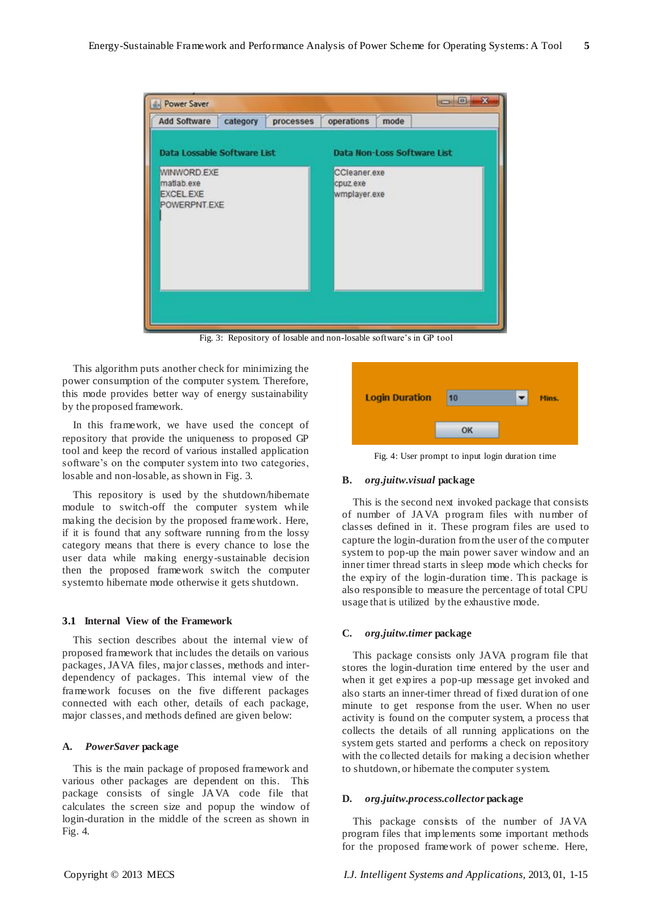

Fig. 3: Repository of losable and non-losable software's in GP tool

This algorithm puts another check for minimizing the power consumption of the computer system. Therefore, this mode provides better way of energy sustainability by the proposed framework.

In this framework, we have used the concept of repository that provide the uniqueness to proposed GP tool and keep the record of various installed application software's on the computer system into two categories, losable and non-losable, as shown in Fig. 3.

This repository is used by the shutdown/hibernate module to switch-off the computer system while making the decision by the proposed framework. Here, if it is found that any software running from the lossy category means that there is every chance to lose the user data while making energy-sustainable decision then the proposed framework switch the computer system to hibernate mode otherwise it gets shutdown.

#### **3.1 Internal View of the Framework**

This section describes about the internal view of proposed framework that includes the details on various packages, JAVA files, major classes, methods and interdependency of packages. This internal view of the framework focuses on the five different packages connected with each other, details of each package, major classes, and methods defined are given below:

## **A.** *PowerSaver* **package**

This is the main package of proposed framework and various other packages are dependent on this. This package consists of single JAVA code file that calculates the screen size and popup the window of login-duration in the middle of the screen as shown in Fig. 4.



Fig. 4: User prompt to input login duration time

# **B.** *org.juitw.visual* **package**

This is the second next invoked package that consists of number of JAVA program files with number of classes defined in it. These program files are used to capture the login-duration from the user of the computer system to pop-up the main power saver window and an inner timer thread starts in sleep mode which checks for the expiry of the login-duration time. This package is also responsible to measure the percentage of total CPU usage that is utilized by the exhaustive mode.

## **C.** *org.juitw.timer* **package**

This package consists only JAVA program file that stores the login-duration time entered by the user and when it get expires a pop-up message get invoked and also starts an inner-timer thread of fixed duration of one minute to get response from the user. When no user activity is found on the computer system, a process that collects the details of all running applications on the system gets started and performs a check on repository with the collected details for making a decision whether to shutdown, or hibernate the computer system.

## **D.** *org.juitw.process.collector* **package**

This package consists of the number of JAVA program files that implements some important methods for the proposed framework of power scheme. Here,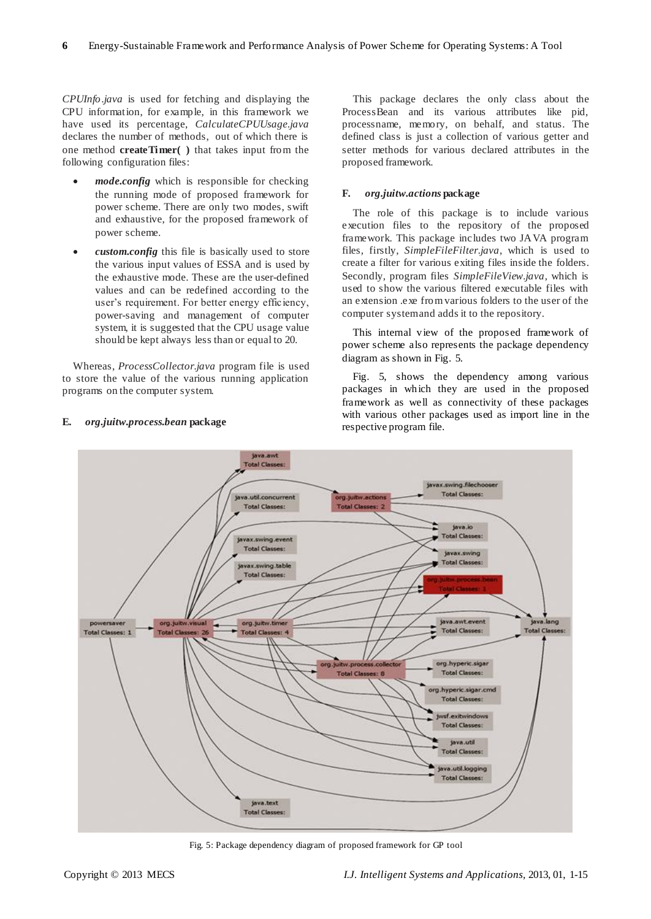*CPUInfo.java* is used for fetching and displaying the CPU information, for example, in this framework we have used its percentage, *CalculateCPUUsage.java* declares the number of methods, out of which there is one method **createTimer( )** that takes input from the following configuration files:

- *mode.config* which is responsible for checking the running mode of proposed framework for power scheme. There are only two modes, swift and exhaustive, for the proposed framework of power scheme.
- *custom.config* this file is basically used to store the various input values of ESSA and is used by the exhaustive mode. These are the user-defined values and can be redefined according to the user's requirement. For better energy efficiency, power-saving and management of computer system, it is suggested that the CPU usage value should be kept always less than or equal to 20.

Whereas, *ProcessCollector.java* program file is used to store the value of the various running application programs on the computer system.

This package declares the only class about the ProcessBean and its various attributes like pid, processname, memory, on behalf, and status. The defined class is just a collection of various getter and setter methods for various declared attributes in the proposed framework.

# **F.** *org.juitw.actions* **package**

The role of this package is to include various execution files to the repository of the proposed framework. This package includes two JAVA program files, firstly, *SimpleFileFilter.java*, which is used to create a filter for various exiting files inside the folders. Secondly, program files *SimpleFileView.java*, which is used to show the various filtered executable files with an extension .exe from various folders to the user of the computer system and adds it to the repository.

This internal view of the propos ed framework of power scheme also represents the package dependency diagram as shown in Fig. 5.

Fig. 5, shows the dependency among various packages in which they are used in the proposed framework as well as connectivity of these packages with various other packages used as import line in the respective program file.



Fig. 5: Package dependency diagram of proposed framework for GP tool

# **E.** *org.juitw.process.bean* **package**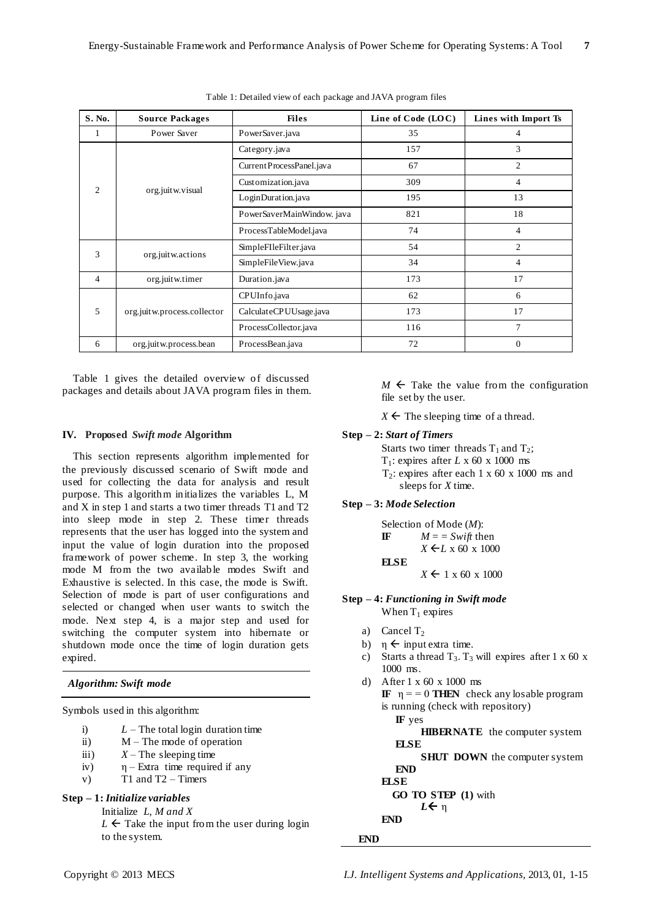| S. No.             | <b>Source Packages</b>      | <b>Files</b>              | Line of Code (LOC) | Lines with Import Ts |
|--------------------|-----------------------------|---------------------------|--------------------|----------------------|
| 1                  | Power Saver                 | PowerSaver.java           | 35                 | 4                    |
|                    |                             | Category.java             | 157                | 3                    |
|                    |                             | Current ProcessPanel.java | 67                 | $\overline{2}$       |
| $\mathfrak{D}_{1}$ |                             | Customization.java        | 309                | $\overline{4}$       |
|                    | org.juitw.visual            | LoginDuration.java        | 195                | 13                   |
|                    |                             | PowerSaverMainWindow.java | 821                | 18                   |
|                    | ProcessTableModel.java      | 74                        | $\overline{4}$     |                      |
| 3                  |                             | SimpleFIleFilter.java     | 54                 | 2                    |
| org.juitw.actions  | SimpleFileView.java         | 34                        | $\overline{4}$     |                      |
| 4                  | org.juitw.timer             | Duration.java             | 173                | 17                   |
|                    |                             | CPUInfo.java              | 62                 | 6                    |
| 5                  | org.juitw.process.collector | CalculateCPUUsage.java    | 173                | 17                   |
|                    |                             | ProcessCollector.java     | 116                | $\overline{7}$       |
| 6                  | org.juitw.process.bean      | ProcessBean.java          | 72                 | $\Omega$             |

Table 1: Detailed view of each package and JAVA program files

Table 1 gives the detailed overview of discussed packages and details about JAVA program files in them.

## **IV. Proposed** *Swift mode* **Algorithm**

This section represents algorithm implemented for the previously discussed scenario of Swift mode and used for collecting the data for analysis and result purpose. This algorithm initializes the variables L, M and X in step 1 and starts a two timer threads T1 and T2 into sleep mode in step 2. These timer threads represents that the user has logged into the system and input the value of login duration into the proposed framework of power scheme. In step 3, the working mode M from the two available modes Swift and Exhaustive is selected. In this case, the mode is Swift. Selection of mode is part of user configurations and selected or changed when user wants to switch the mode. Next step 4, is a major step and used for switching the computer system into hibernate or shutdown mode once the time of login duration gets expired.

## *Algorithm: Swift mode*

Symbols used in this algorithm:

- i)  $L$  The total login duration time
- ii) M The mode of operation
- iii)  $X -$  The sleeping time
- iv)  $\eta$  Extra time required if any
- $v$  T1 and T2 Timers

# **Step – 1:** *Initialize variables*

Initialize *L, M and X*

 $L \leftarrow$  Take the input from the user during login to the system.

 $M \leftarrow$  Take the value from the configuration file set by the user.

 $X \leftarrow$  The sleeping time of a thread.

#### **Step – 2:** *Start of Timers*

Starts two timer threads  $T_1$  and  $T_2$ ;

- T<sub>1</sub>: expires after *L* x 60 x 1000 ms
- $T_2$ : expires after each 1 x 60 x 1000 ms and sleeps for *X* time.

# **Step – 3:** *Mode Selection*

Selection of Mode (*M*): **IF**  $M = Swift$  then *X* **←***L* x 60 x 1000 **ELSE**  $X \leftarrow 1 \times 60 \times 1000$ 

### **Step – 4:** *Functioning in Swift mode*

- When  $T_1$  expires
- a) Cancel  $T_2$
- b)  $\eta \leftarrow$  input extra time.
- c) Starts a thread  $T_3$ .  $T_3$  will expires after 1 x 60 x 1000 ms.
- d) After 1 x 60 x 1000 ms **IF**  $\eta = 0$  **THEN** check any losable program is running (check with repository)  **IF** yes
	- **HIBERNATE** the computer system  **ELSE**

**SHUT DOWN** the computer system

 **END ELSE**

 **GO TO STEP (1)** with  $L$  ← η **END**

# **END**

Copyright © 2013 MECS *I.J. Intelligent Systems and Applications,* 2013, 01, 1-15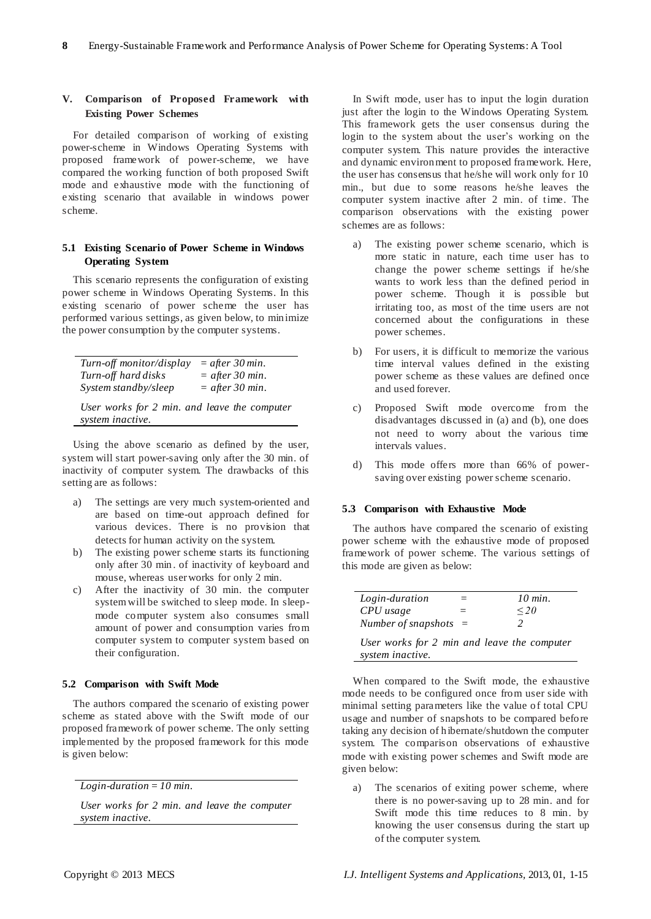# **V. Comparison of Proposed Framework with Existing Power Schemes**

For detailed comparison of working of existing power-scheme in Windows Operating Systems with proposed framework of power-scheme, we have compared the working function of both proposed Swift mode and exhaustive mode with the functioning of existing scenario that available in windows power scheme.

# **5.1 Existing Scenario of Power Scheme in Windows Operating System**

This scenario represents the configuration of existing power scheme in Windows Operating Systems. In this existing scenario of power scheme the user has performed various settings, as given below, to minimize the power consumption by the computer systems.

| Turn-off monitor/display                     | $=$ after 30 min. |
|----------------------------------------------|-------------------|
| Turn-off hard disks                          | $=$ after 30 min. |
| System standby/sleep                         | $=$ after 30 min. |
| User works for 2 min. and leave the computer |                   |
| system inactive.                             |                   |

Using the above scenario as defined by the user, system will start power-saving only after the 30 min. of inactivity of computer system. The drawbacks of this setting are as follows:

- a) The settings are very much system-oriented and are based on time-out approach defined for various devices. There is no provision that detects for human activity on the system.
- b) The existing power scheme starts its functioning only after 30 min . of inactivity of keyboard and mouse, whereas user works for only 2 min.
- c) After the inactivity of 30 min. the computer system will be switched to sleep mode. In sleepmode computer system also consumes small amount of power and consumption varies from computer system to computer system based on their configuration.

## **5.2 Comparison with Swift Mode**

The authors compared the scenario of existing power scheme as stated above with the Swift mode of our proposed framework of power scheme. The only setting implemented by the proposed framework for this mode is given below:

*Login-duration = 10 min.*

*User works for 2 min. and leave the computer system inactive.*

In Swift mode, user has to input the login duration just after the login to the Windows Operating System. This framework gets the user consensus during the login to the system about the user's working on the computer system. This nature provides the interactive and dynamic environment to proposed framework. Here, the user has consensus that he/she will work only for 10 min., but due to some reasons he/she leaves the computer system inactive after 2 min. of time. The comparison observations with the existing power schemes are as follows:

- a) The existing power scheme scenario, which is more static in nature, each time user has to change the power scheme settings if he/she wants to work less than the defined period in power scheme. Though it is possible but irritating too, as most of the time users are not concerned about the configurations in these power schemes.
- b) For users, it is difficult to memorize the various time interval values defined in the existing power scheme as these values are defined once and used forever.
- c) Proposed Swift mode overcome from the disadvantages discussed in (a) and (b), one does not need to worry about the various time intervals values.
- d) This mode offers more than 66% of powersaving over existing power scheme scenario.

## **5.3 Comparison with Exhaustive Mode**

The authors have compared the scenario of existing power scheme with the exhaustive mode of proposed framework of power scheme. The various settings of this mode are given as below:

| Login-duration                              | 10 min.   |
|---------------------------------------------|-----------|
| CPU usage                                   | $\leq$ 20 |
| Number of snapshots $=$                     |           |
| User works for 2 min and leave the computer |           |
| system inactive.                            |           |

When compared to the Swift mode, the exhaustive mode needs to be configured once from user side with minimal setting parameters like the value of total CPU usage and number of snapshots to be compared before taking any decision of hibernate/shutdown the computer system. The comparison observations of exhaustive mode with existing power schemes and Swift mode are given below:

a) The scenarios of exiting power scheme, where there is no power-saving up to 28 min. and for Swift mode this time reduces to 8 min. by knowing the user consensus during the start up of the computer system.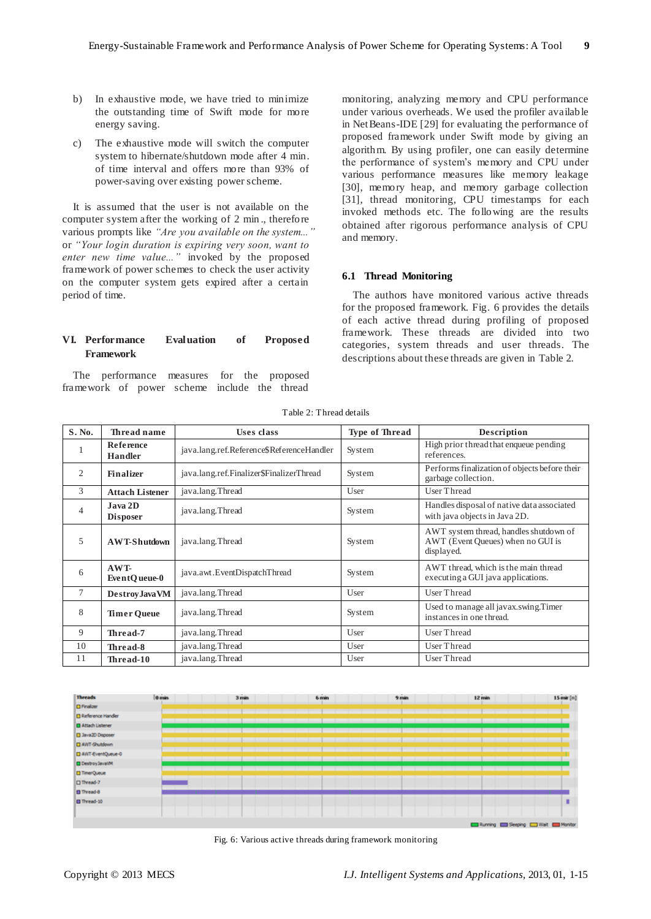- b) In exhaustive mode, we have tried to minimize the outstanding time of Swift mode for more energy saving.
- c) The exhaustive mode will switch the computer system to hibernate/shutdown mode after 4 min. of time interval and offers more than 93% of power-saving over existing power scheme.

It is assumed that the user is not available on the computer system after the working of 2 min ., therefore various prompts like *"Are you available on the system..."* or *"Your login duration is expiring very soon, want to enter new time value..."* invoked by the proposed framework of power schemes to check the user activity on the computer system gets expired after a certain period of time.

# **VI. Performance Evaluation of Proposed Framework**

The performance measures for the proposed framework of power scheme include the thread monitoring, analyzing memory and CPU performance under various overheads. We used the profiler available in NetBeans-IDE [29] for evaluating the performance of proposed framework under Swift mode by giving an algorithm. By using profiler, one can easily determine the performance of system's memory and CPU under various performance measures like memory leakage [30], memory heap, and memory garbage collection [31], thread monitoring, CPU timestamps for each invoked methods etc. The following are the results obtained after rigorous performance analysis of CPU and memory.

# **6.1 Thread Monitoring**

The authors have monitored various active threads for the proposed framework. Fig. 6 provides the details of each active thread during profiling of proposed framework. These threads are divided into two categories, system threads and user threads. The descriptions about these threads are given in Table 2.

| S. No.         | Thread name                 | Uses class                                | <b>Type of Thread</b> | Description                                                                               |
|----------------|-----------------------------|-------------------------------------------|-----------------------|-------------------------------------------------------------------------------------------|
|                | Reference<br><b>Handler</b> | java.lang.ref.Reference\$ReferenceHandler | System                | High prior thread that enqueue pending<br>references.                                     |
| 2              | Finalizer                   | java.lang.ref.Finalizer\$FinalizerThread  | System                | Performs finalization of objects before their<br>garbage collection.                      |
| 3              | <b>Attach Listener</b>      | java.lang.Thread                          | User                  | User Thread                                                                               |
| $\overline{4}$ | Java 2D<br><b>Disposer</b>  | java.lang.Thread                          | System                | Handles disposal of native data associated<br>with java objects in Java 2D.               |
| 5              | <b>AWT-Shutdown</b>         | java.lang.Thread                          | System                | AWT system thread, handles shutdown of<br>AWT (Event Queues) when no GUI is<br>displayed. |
| 6              | AWT-<br>EventQueue-0        | java.awt.EventDispatchThread              | System                | AWT thread, which is the main thread<br>executing a GUI java applications.                |
| 7              | Destroy Java VM             | java.lang.Thread                          | User                  | User Thread                                                                               |
| 8              | <b>Timer Queue</b>          | java.lang.Thread                          | System                | Used to manage all javax.swing.Timer<br>instances in one thread.                          |
| 9              | Thread-7                    | java.lang.Thread                          | User                  | User Thread                                                                               |
| 10             | Thread-8                    | java.lang.Thread                          | User                  | <b>User Thread</b>                                                                        |
| 11             | Thread-10                   | java.lang.Thread                          | User                  | User Thread                                                                               |

Table 2: Thread details



Fig. 6: Various active threads during framework monitoring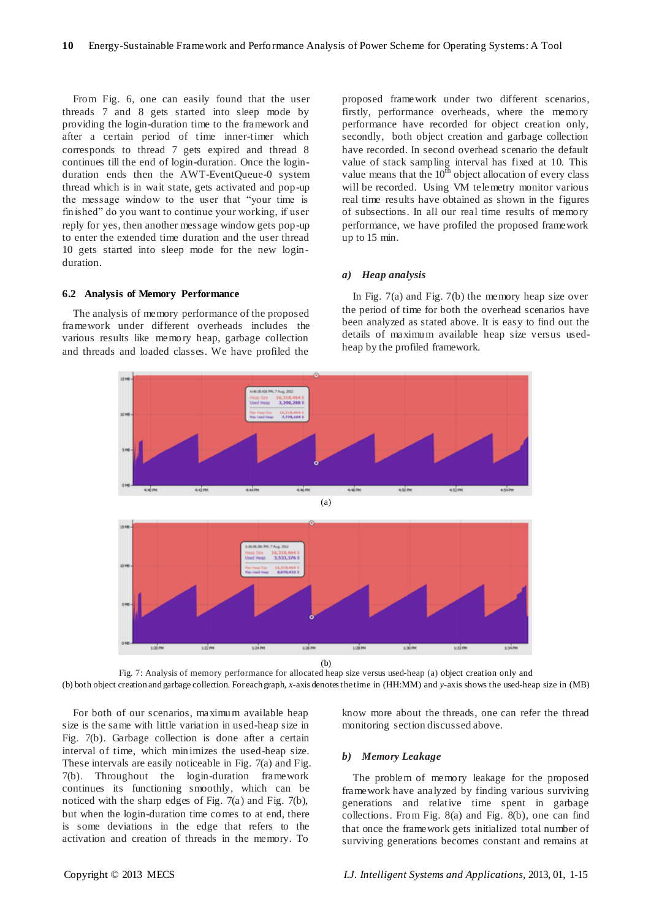From Fig. 6, one can easily found that the user threads 7 and 8 gets started into sleep mode by providing the login-duration time to the framework and after a certain period of time inner-timer which corresponds to thread 7 gets expired and thread 8 continues till the end of login-duration. Once the loginduration ends then the AWT-EventQueue-0 system thread which is in wait state, gets activated and pop-up the message window to the user that "your time is finished" do you want to continue your working, if user reply for yes, then another message window gets pop-up to enter the extended time duration and the user thread 10 gets started into sleep mode for the new loginduration.

#### **6.2 Analysis of Memory Performance**

The analysis of memory performance of the proposed framework under different overheads includes the various results like memory heap, garbage collection and threads and loaded classes. We have profiled the

proposed framework under two different scenarios, firstly, performance overheads, where the memory performance have recorded for object creation only, secondly, both object creation and garbage collection have recorded. In second overhead scenario the default value of stack sampling interval has fixed at 10. This value means that the  $10^{th}$  object allocation of every class will be recorded. Using VM telemetry monitor various real time results have obtained as shown in the figures of subsections. In all our real time results of memory performance, we have profiled the proposed framework up to 15 min.

# *a) Heap analysis*

In Fig. 7(a) and Fig. 7(b) the memory heap size over the period of time for both the overhead scenarios have been analyzed as stated above. It is easy to find out the details of maximum available heap size versus usedheap by the profiled framework.



Fig. 7: Analysis of memory performance for allocated heap size versus used-heap (a) object creation only and (b) both object creation and garbage collection. For each graph, *x-*axis denotes the time in (HH:MM) and *y-*axis shows the used-heap size in (MB)

For both of our scenarios, maximum available heap size is the same with little variation in used-heap size in Fig. 7(b). Garbage collection is done after a certain interval of time, which minimizes the used-heap size. These intervals are easily noticeable in Fig. 7(a) and Fig. 7(b). Throughout the login-duration framework continues its functioning smoothly, which can be noticed with the sharp edges of Fig. 7(a) and Fig. 7(b), but when the login-duration time comes to at end, there is some deviations in the edge that refers to the activation and creation of threads in the memory. To

know more about the threads, one can refer the thread monitoring section discussed above.

## *b) Memory Leakage*

The problem of memory leakage for the proposed framework have analyzed by finding various surviving generations and relative time spent in garbage collections. From Fig. 8(a) and Fig. 8(b), one can find that once the framework gets initialized total number of surviving generations becomes constant and remains at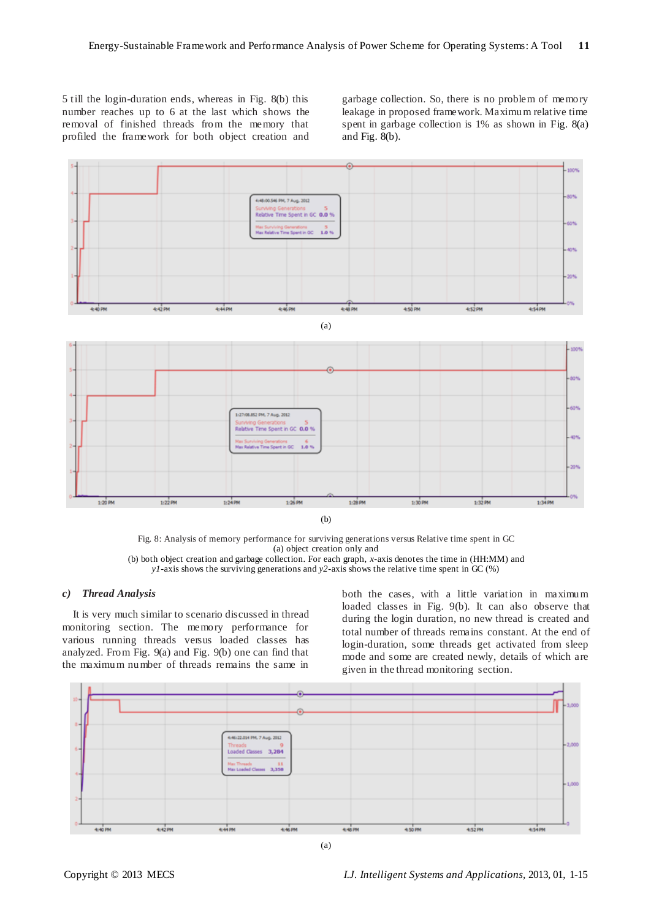5 till the login-duration ends, whereas in Fig. 8(b) this number reaches up to 6 at the last which shows the removal of finished threads from the memory that profiled the framework for both object creation and garbage collection. So, there is no problem of memory leakage in proposed framework. Maximum relative time spent in garbage collection is 1% as shown in Fig. 8(a) and Fig. 8(b).



Fig. 8: Analysis of memory performance for surviving generations versus Relative time spent in GC (a) object creation only and (b) both object creation and garbage collection. For each graph, *x-*axis denotes the time in (HH:MM) and *y1-*axis shows the surviving generations and *y2-*axis shows the relative time spent in GC (%)

## *c) Thread Analysis*

It is very much similar to scenario discussed in thread monitoring section. The memory performance for various running threads versus loaded classes has analyzed. From Fig. 9(a) and Fig. 9(b) one can find that the maximum number of threads remains the same in

both the cases, with a little variation in maximum loaded classes in Fig. 9(b). It can also observe that during the login duration, no new thread is created and total number of threads remains constant. At the end of login-duration, some threads get activated from sleep mode and some are created newly, details of which are given in the thread monitoring section.

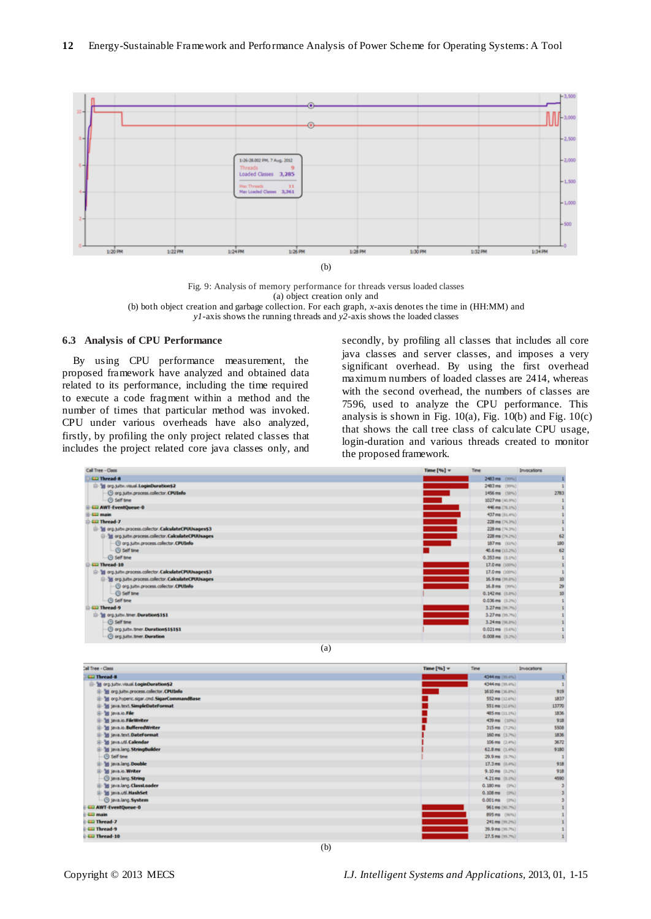

Fig. 9: Analysis of memory performance for threads versus loaded classes (a) object creation only and (b) both object creation and garbage collection. For each graph, *x-*axis denotes the time in (HH:MM) and *y1-*axis shows the running threads and *y2-*axis shows the loaded classes

# **6.3 Analysis of CPU Performance**

By using CPU performance measurement, the proposed framework have analyzed and obtained data related to its performance, including the time required to execute a code fragment within a method and the number of times that particular method was invoked. CPU under various overheads have also analyzed, firstly, by profiling the only project related classes that includes the project related core java classes only, and

secondly, by profiling all classes that includes all core java classes and server classes, and imposes a very significant overhead. By using the first overhead maximum numbers of loaded classes are 2414, whereas with the second overhead, the numbers of classes are 7596, used to analyze the CPU performance. This analysis is shown in Fig.  $10(a)$ , Fig.  $10(b)$  and Fig.  $10(c)$ that shows the call tree class of calculate CPU usage, login-duration and various threads created to monitor the proposed framework.

| Call Tree - Class                                         | Time $[96]$ $\vee$ | Time                       | Invocations |
|-----------------------------------------------------------|--------------------|----------------------------|-------------|
| <b>CD</b> Thread-8                                        |                    | 2483 ms (99%)              | ٠           |
| S-38 org.jubv.visual.LoginDuration\$2                     |                    | 2483 mg (99%)              |             |
| O org.juitw.process.collector.CPUInfo                     |                    | 1456 ms (53%)              | 2783        |
| $-\odot Self time$                                        |                    | 1027 ms (40.9%)            |             |
| <b>CD AWT-EventQueue-0</b>                                |                    | 446 ms (70.1%)             |             |
| <b>Call main</b>                                          |                    | 437 mg (11.4%)             |             |
| <b>CD</b> Thread-7                                        |                    | 228 ms (74.3%)             |             |
| (iii) 3g org.juitw.process.colector.CalculateCPUUsages\$3 |                    | 228 ms (74.3%)             |             |
| E-38 org.satw.process.collector.CalculateCPUUsages        |                    | 228 ms (74.2%)             | 62          |
| @ org.juitw.process.colector.CPUInfo                      |                    | 187mg (61%)                | 550         |
| <b>G</b> Self time                                        |                    | 40.6 ms (13.2%)            | 62          |
| -C) Self time                                             |                    | 0.353 ms (0.1%)            |             |
| <b>CILI Thread-10</b>                                     |                    | 17.0 ms (100%)             | t           |
| - 38 org.jubs.process.colector.CalculateCPUUsages\$3      |                    | 17.0 mg (100%)             |             |
| St org.juite.process.colector.CalculateCPUUsages          |                    | 16.9 ms (19.8%)            | 10          |
| @ org.satvi.process.collector.CPUInfo                     |                    | 16.8 ms (1974)             | 3           |
| $ \odot$ Self time                                        |                    | $0.142$ ms $(1.0\%)$       | 10          |
| -(3) Self time                                            |                    | $(1.016 \text{ m})$ (1.3%) |             |
| <b>CD</b> Thread-9                                        |                    | 3.27 ms (19.7%)            |             |
| Si 3d org. juite. timer. Duration \$151                   |                    | 3.27 ms (10.7%)            |             |
| <b>G</b> Self time                                        |                    | 3.24 mg (98.8%)            |             |
| O org. tultiv. timer. Duration\$1\$1\$1                   |                    | 0.021 ms (0.6%)            |             |
| O org.juite.timer.Duration                                |                    | $0.008$ ms $(0.2\%)$       |             |
| (a)                                                       |                    |                            |             |

| . .<br>× |
|----------|
| ۰.       |

| al Tree - Class                           | Time $[\%]$ $\vee$ | Time:               | Invocations |
|-------------------------------------------|--------------------|---------------------|-------------|
| <b>CD</b> Thread-B                        |                    | 4344 mg (10.4%)     |             |
| S-38 org.juby.visual.LoginDuration\$2     |                    | 4344 ms (10.4%)     |             |
| 10 St org.tult=.process.collector.CPUInfo |                    | 1610 ms (16.8%)     | 929         |
| 3d org.hyperic.sigar.ond.SigarCommandBase |                    | \$52 ms (13.6%)     | 1837        |
| 9 St java.text.SimpleDateFormat           |                    | 551 mg (12.6%)      | 13770       |
| B-38 java.lo.File                         |                    | 485 mg (11.1%)      | 1836        |
| 11-34 java.io.FileWriter                  |                    | 439 ms (10%)        | 918         |
| 1-34 Java.lo.BufferedWriter               |                    | 315 ms (7.2%)       | 5508        |
| 1 3d Java.text.DateFormat                 |                    | 160 ms (1.7%)       | 1836        |
| E-38 Java util Calendar                   |                    | 106 mg (2.4%)       | 3672        |
| 3 St java.lang. StringBuilder             |                    | 62.8 mg (1.4%)      | 9180        |
| <b>C Self time</b>                        |                    | 29.9 ms (8.7%)      |             |
| 3d Java.lang.Double                       |                    | 17.3 ms (0.4%)      | 918         |
| (i) 3d Sava.io.Writer                     |                    | 9.10 ms (0.2%)      | 918         |
| C java.lang. String                       |                    | 4.21ms (0.1%)       | 4590        |
| E-38 java.lang. ClassLoader               |                    | $0.180$ ms $(0\%)$  |             |
| 10-38 java.util.HashSet                   |                    | $0.108$ ms $(0\%$ ) |             |
| @ Java.lang. System                       |                    | $0.001ms$ (thu)     |             |
| <b>LawT-EventQueue-0</b>                  |                    | 961 ms (90.7%)      |             |
| <b>Call main</b>                          |                    | 895 mg (90%)        |             |
| <b>Extended-7</b>                         |                    | 241 ms (10.2%)      |             |
| <b>ED</b> Thread-9                        |                    | 39.9 ms (19.7%)     |             |
| <b>CD</b> Thread-10                       |                    | 27.5 ms (10.7%)     |             |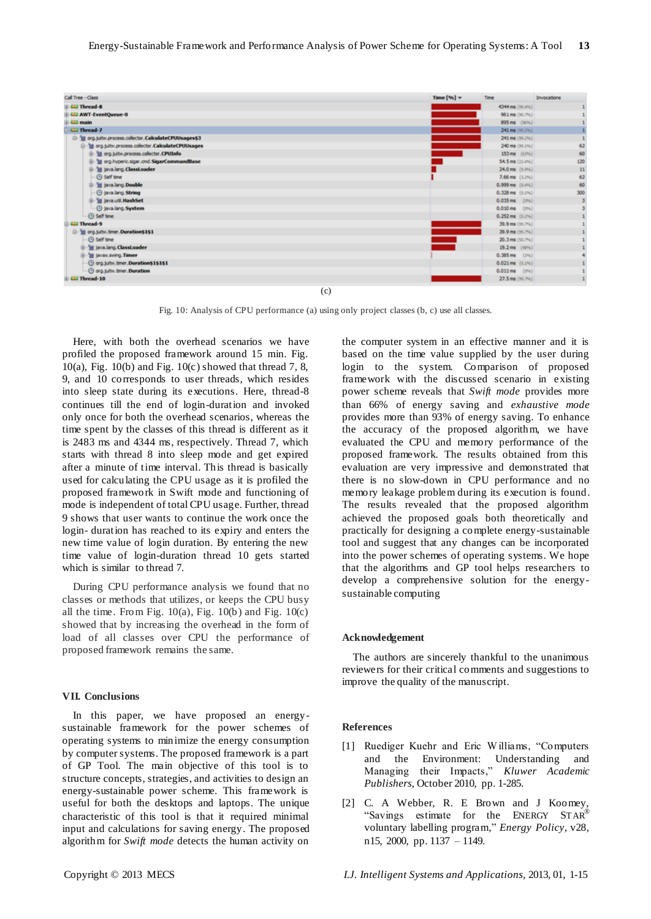| Call Tree - Class                                      | Time $\{W_i\}$ w | <b>Time</b>              | Invocations |
|--------------------------------------------------------|------------------|--------------------------|-------------|
| <b>E-CEI Thread-8</b>                                  |                  | 4344 ms (99.4%)          |             |
| <b>E CD AWT-EventQueue-0</b>                           |                  | 961 ms (90.7%)           |             |
| <b>E-ED main</b>                                       |                  | 895 ms (90%)             |             |
| <b>CD</b> Thread-7                                     |                  | 241 ms (99.2%)           |             |
| E-38 org.juitw.process.collector.CalculateCPUUsages\$3 |                  | 241 ms (99.2%)           |             |
| S 31 org.juitw.process.collector.CalculateCPUUsages    |                  | 240 ms (99.5%)           | 62          |
| E-38 org.juitw.process.collector.CPUInfo               |                  | 153 ms (63%)             | 60          |
| [3] org.hyperic.sigar.cmd.SigarCommandBase             |                  | 54.5 ms (22.4%)          | 120         |
| E-38 java.lang.ClassLoader                             |                  | 24.0 ms (9.9%)           | 11          |
| <b>G</b> Self time                                     |                  | 7.66 ms (3.2%)           | 62          |
| E-38 java.lang.Double                                  |                  | $0.999$ ms $(0.4\%)$     | 60          |
| <b>E java.lang.String</b>                              |                  | $0.328$ ms $(0.1\%)$     | 300         |
| E-38 java.util.HashSet                                 |                  | $0.035$ ms $(0\%)$       |             |
| <b>C java.lang.System</b>                              |                  | $0.010$ ms $(0\%$        |             |
| <b>G</b> Self time                                     |                  | $0.252$ ms $(0.1\%)$     |             |
| <b>CD</b> Thread-9                                     |                  | 39.9 ms (99.7%)          |             |
| Si org.jubv.tmer.Duration\$1\$1                        |                  | 39.9 mg (99.7%)          |             |
| <b>G</b> Self time                                     |                  | $20.3$ ms $(50.7\%)$     |             |
| E-38 java.lang.ClassLoader                             |                  | 19.2 ms (40%)            |             |
| (i) St javax.sving.Timer                               |                  | $0.385 \,\text{ms}$ (1%) |             |
| @ org.jubii.timer.Duration\$1\$1\$1                    |                  | $0.021$ ms $(0.1\%)$     |             |
| O org.jubw.timer.Duration                              |                  | 0.011 ms (0%)            |             |
| <b>ED</b> Thread-10                                    |                  | 27.5 ms (99.7%)          |             |

Fig. 10: Analysis of CPU performance (a) using only project classes (b, c) use all classes.

Here, with both the overhead scenarios we have profiled the proposed framework around 15 min. Fig. 10(a), Fig. 10(b) and Fig. 10(c) showed that thread 7, 8, 9, and 10 corresponds to user threads, which resides into sleep state during its executions. Here, thread-8 continues till the end of login-duration and invoked only once for both the overhead scenarios, whereas the time spent by the classes of this thread is different as it is 2483 ms and 4344 ms, respectively. Thread 7, which starts with thread 8 into sleep mode and get expired after a minute of time interval. This thread is basically used for calculating the CPU usage as it is profiled the proposed framework in Swift mode and functioning of mode is independent of total CPU usage. Further, thread 9 shows that user wants to continue the work once the login- duration has reached to its expiry and enters the new time value of login duration. By entering the new time value of login-duration thread 10 gets started which is similar to thread 7.

During CPU performance analysis we found that no classes or methods that utilizes, or keeps the CPU busy all the time. From Fig.  $10(a)$ , Fig.  $10(b)$  and Fig.  $10(c)$ showed that by increasing the overhead in the form of load of all classes over CPU the performance of proposed framework remains the same.

#### **VII. Conclusions**

In this paper, we have proposed an energysustainable framework for the power schemes of operating systems to minimize the energy consumption by computer systems. The proposed framework is a part of GP Tool. The main objective of this tool is to structure concepts, strategies, and activities to design an energy-sustainable power scheme. This framework is useful for both the desktops and laptops. The unique characteristic of this tool is that it required minimal input and calculations for saving energy. The proposed algorithm for *Swift mode* detects the human activity on

the computer system in an effective manner and it is based on the time value supplied by the user during login to the system. Comparison of proposed framework with the discussed scenario in existing power scheme reveals that *Swift mode* provides more than 66% of energy saving and *exhaustive mode* provides more than 93% of energy saving. To enhance the accuracy of the proposed algorithm, we have evaluated the CPU and memory performance of the proposed framework. The results obtained from this evaluation are very impressive and demonstrated that there is no slow-down in CPU performance and no memory leakage problem during its execution is found. The results revealed that the proposed algorithm achieved the proposed goals both theoretically and practically for designing a complete energy-sustainable tool and suggest that any changes can be incorporated into the power schemes of operating systems. We hope that the algorithms and GP tool helps researchers to develop a comprehensive solution for the energysustainable computing

## **Acknowledgement**

The authors are sincerely thankful to the unanimous reviewers for their critical comments and suggestions to improve the quality of the manuscript.

## **References**

- [1] Ruediger Kuehr and Eric Williams, "Computers and the Environment: Understanding and Managing their Impacts," Kluwer Academic *Publishers*, October 2010, pp. 1-285.
- [2] C. A Webber, R. E Brown and J Koomey, "Savings estimate for the ENERGY  $STAR^{\mathscr{B}}$ voluntary labelling program," *Energy Policy*, v28, n15, 2000, pp. 1137 – 1149.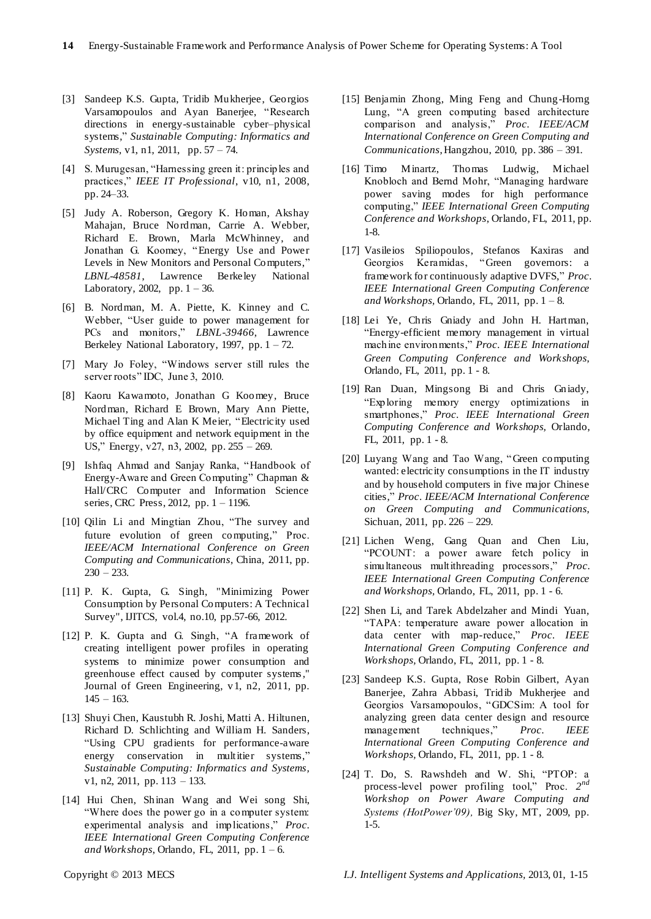- [3] Sandeep K.S. Gupta, Tridib Mukherjee, Georgios Varsamopoulos and Ayan Banerjee, "Research directions in energy-sustainable cyber–physical systems," Sustainable Computing: Informatics and *Systems,* v1, n1, 2011, pp. 57 – 74.
- [4] S. Murugesan, "Harnessing green it: principles and practices,‖ *IEEE IT Professional*, v10, n1, 2008, pp. 24–33.
- [5] Judy A. Roberson, Gregory K. Homan, Akshay Mahajan, Bruce Nordman, Carrie A. Webber, Richard E. Brown, Marla McWhinney, and Jonathan G. Koomey, "Energy Use and Power Levels in New Monitors and Personal Computers," *LBNL-48581*, Lawrence Berkeley National Laboratory, 2002, pp.  $1 - 36$ .
- [6] B. Nordman, M. A. Piette, K. Kinney and C. Webber, "User guide to power management for PCs and monitors," *LBNL-39466*, Lawrence Berkeley National Laboratory, 1997, pp. 1 – 72.
- [7] Mary Jo Foley, "Windows server still rules the server roots" IDC, June 3, 2010.
- [8] Kaoru Kawamoto, Jonathan G Koomey, Bruce Nordman, Richard E Brown, Mary Ann Piette, Michael Ting and Alan K Meier, "Electricity used by office equipment and network equipment in the US," Energy, v27, n3, 2002, pp.  $255 - 269$ .
- [9] Ishfaq Ahmad and Sanjay Ranka, "Handbook of Energy-Aware and Green Computing" Chapman & Hall/CRC Computer and Information Science series, CRC Press, 2012, pp. 1 – 1196.
- [10] Qilin Li and Mingtian Zhou, "The survey and future evolution of green computing," Proc. *IEEE/ACM International Conference on Green Computing and Communications*, China, 2011, pp.  $230 - 233$ .
- [11] P. K. Gupta, G. Singh, "Minimizing Power Consumption by Personal Computers: A Technical Survey", IJITCS, vol.4, no.10, pp.57-66, 2012.
- [12] P. K. Gupta and G. Singh, "A framework of creating intelligent power profiles in operating systems to minimize power consumption and greenhouse effect caused by computer systems," Journal of Green Engineering, v1, n2, 2011, pp.  $145 - 163$ .
- [13] Shuyi Chen, Kaustubh R. Joshi, Matti A. Hiltunen, Richard D. Schlichting and William H. Sanders, ―Using CPU gradients for performance-aware energy conservation in multitier systems," *Sustainable Computing: Informatics and Systems,*  v1, n2, 2011, pp. 113 – 133.
- [14] Hui Chen, Shinan Wang and Wei song Shi, ―Where does the power go in a computer system: experimental analysis and implications," Proc. *IEEE International Green Computing Conference and Workshops*, Orlando, FL, 2011, pp. 1 – 6.
- [15] Benjamin Zhong, Ming Feng and Chung-Horng Lung, "A green computing based architecture comparison and analysis,‖ *Proc*. *IEEE/ACM International Conference on Green Computing and Communications*, Hangzhou, 2010, pp. 386 – 391.
- [16] Timo Minartz, Thomas Ludwig, Michael Knobloch and Bernd Mohr, "Managing hardware power saving modes for high performance computing," IEEE International Green Computing *Conference and Workshops*, Orlando, FL, 2011, pp. 1-8.
- [17] Vasileios Spiliopoulos, Stefanos Kaxiras and Georgios Keramidas, "Green governors: a frame work for continuously adaptive DVFS," Proc. *IEEE International Green Computing Conference and Workshops,* Orlando, FL, 2011, pp. 1 – 8.
- [18] Lei Ye, Chris Gniady and John H. Hartman, ―Energy-efficient memory management in virtual machine environments,‖ *Proc*. *IEEE International Green Computing Conference and Workshops,* Orlando, FL, 2011, pp. 1 - 8.
- [19] Ran Duan, Mingsong Bi and Chris Gniady, ―Exploring memory energy optimizations in smartphones,‖ *Proc*. *IEEE International Green Computing Conference and Workshops,* Orlando, FL, 2011, pp. 1 - 8.
- [20] Luyang Wang and Tao Wang, "Green computing wanted: electricity consumptions in the IT industry and by household computers in five major Chinese cities,‖ *Proc*. *IEEE/ACM International Conference on Green Computing and Communications,* Sichuan, 2011, pp. 226 – 229.
- [21] Lichen Weng, Gang Quan and Chen Liu, ―PCOUNT: a power aware fetch policy in simultaneous multithreading processors," *Proc. IEEE International Green Computing Conference and Workshops,* Orlando, FL, 2011, pp. 1 - 6.
- [22] Shen Li, and Tarek Abdelzaher and Mindi Yuan, ―TAPA: temperature aware power allocation in data center with map-reduce," Proc. IEEE *International Green Computing Conference and Workshops,* Orlando, FL, 2011, pp. 1 - 8.
- [23] Sandeep K.S. Gupta, Rose Robin Gilbert, Ayan Banerjee, Zahra Abbasi, Tridib Mukherjee and Georgios Varsamopoulos, "GDCSim: A tool for analyzing green data center design and resource management techniques," *Proc. IEEE International Green Computing Conference and Workshops,* Orlando, FL, 2011, pp. 1 - 8.
- [24] T. Do, S. Rawshdeh and W. Shi, "PTOP: a process-level power profiling tool," Proc.  $2^{nd}$ *Workshop on Power Aware Computing and Systems (HotPower'09),* Big Sky, MT, 2009, pp. 1-5.